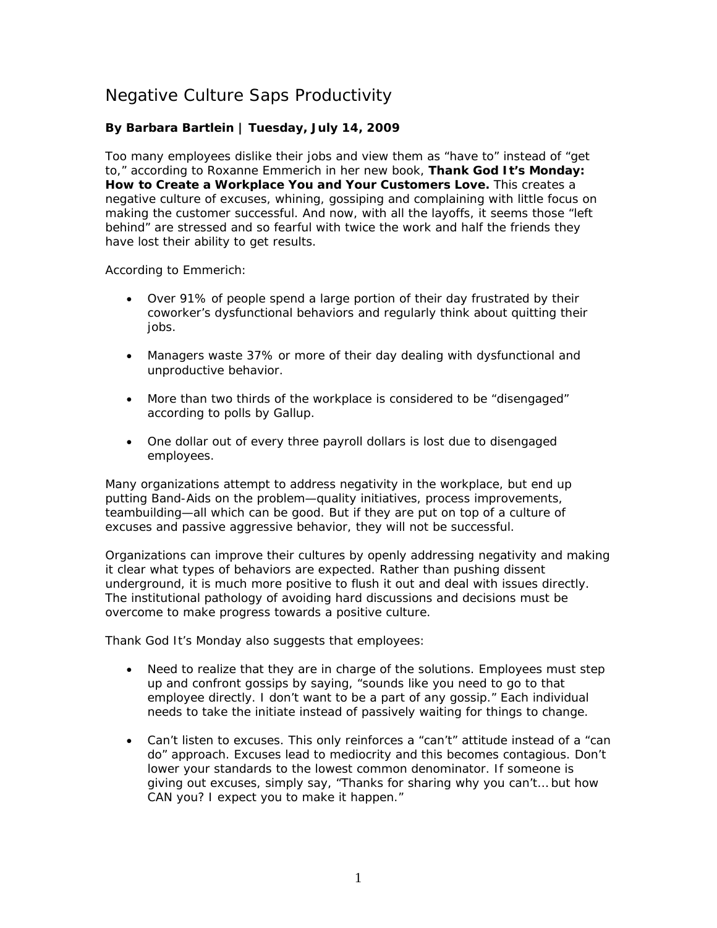## Negative Culture Saps Productivity

## **By Barbara Bartlein | Tuesday, July 14, 2009**

Too many employees dislike their jobs and view them as "have to" instead of "get to," according to Roxanne Emmerich in her new book, *Thank God It's Monday: How to Create a Workplace You and Your Customers Love.* This creates a negative culture of excuses, whining, gossiping and complaining with little focus on making the customer successful. And now, with all the layoffs, it seems those "left behind" are stressed and so fearful with twice the work and half the friends they have lost their ability to get results.

According to Emmerich:

- Over 91% of people spend a large portion of their day frustrated by their coworker's dysfunctional behaviors and regularly think about quitting their jobs.
- Managers waste 37% or more of their day dealing with dysfunctional and unproductive behavior.
- More than two thirds of the workplace is considered to be "disengaged" according to polls by Gallup.
- One dollar out of every three payroll dollars is lost due to disengaged employees.

Many organizations attempt to address negativity in the workplace, but end up putting Band-Aids on the problem—quality initiatives, process improvements, teambuilding—all which can be good. But if they are put on top of a culture of excuses and passive aggressive behavior, they will not be successful.

Organizations can improve their cultures by openly addressing negativity and making it clear what types of behaviors are expected. Rather than pushing dissent underground, it is much more positive to flush it out and deal with issues directly. The institutional pathology of avoiding hard discussions and decisions must be overcome to make progress towards a positive culture.

Thank God It's Monday also suggests that employees:

- Need to realize that they are in charge of the solutions. Employees must step up and confront gossips by saying, "sounds like you need to go to that employee directly. I don't want to be a part of any gossip." Each individual needs to take the initiate instead of passively waiting for things to change.
- Can't listen to excuses. This only reinforces a "can't" attitude instead of a "can do" approach. Excuses lead to mediocrity and this becomes contagious. Don't lower your standards to the lowest common denominator. If someone is giving out excuses, simply say, "Thanks for sharing why you can't… but how CAN you? I expect you to make it happen."